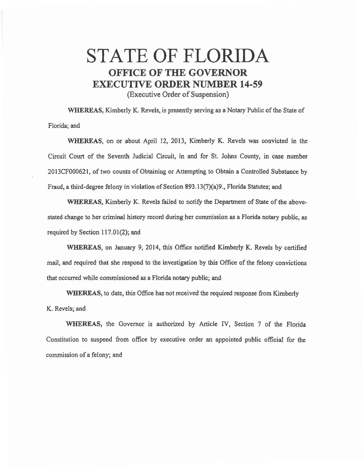## STATE OF FLORIDA OFFICE OF THE GOVERNOR EXECUTIVE ORDER NUMBER 14-59

(Executive Order of Suspension)

WHEREAS, Kimberly K. Revels, is presently serving as a Notary Public of the State of Florida; and

WHEREAS, on or about April 12, 2013, Kimberly K. Revels was convicted in the Circuit Court of the Seventh Judicial Circuit, in and for St. Johns County, in case number 2013CF000621, of two counts of Obtaining or Attempting to Obtain a Controlled Substance by Fraud, a third-degree felony in violation of Section 893.13(7)(a)9., Florida Statutes; and

WHEREAS, Kimberly K. Revels failed to notify the Department of State of the abovestated change to her criminal history record during her commission as a Florida notary public, *as*  required by Section 117.01(2); and

WHEREAS, on January 9, 2014, this Office notified Kimberly K. Revels by certified mail, and required that she respond to the investigation by this Office of the felony convictions that occurred while commissioned as a Florida notary public; and

WHEREAS, to date, this Office has not received the required response from Kimberly K. Revels; and

WHEREAS, the Governor is authorized by Article IV, Section 7 of the Florida Constitution to suspend from office by executive order an appointed public official for the commission of a felony; and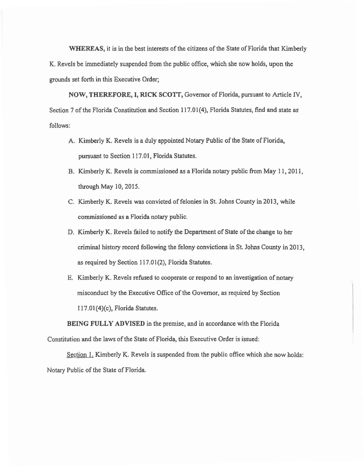WHEREAS, it is in the best interests of the citizens of the State of Florida that Kimberly K. Revels be immediately suspended from the public office, which she now holds, upon the grounds set forth in this Executive Order;

NOW, THEREFORE, I, RICK SCOTI, Governor of Florida, pursuant to Article IV, Section 7 of the Florida Constitution and Section 117.01(4), Florida Statutes, find and state as follows:

- A. Kimberly K. Revels is a duly appointed Notary Public of the State of Florida, pursuant to Section 117.01, Florida Statutes.
- B. Kimberly K. Revels is commissioned as a Florida notary public from May 11, 2011, through May 10, 2015.
- C. Kimberly K. Revels was convicted of felonies in St. Johns County in 2013, while commissioned as a Florida notary public.
- D. Kimberly K. Revels failed to notify the Department of State of the change to her criminal history record following the felony convictions in St. Johns County in 2013, as required by Section 117.01(2), Florida Statutes.
- E. Kimberly K. Revels refused to cooperate or respond to an investigation of notary misconduct by the Executive Office of the Governor, as required by Section 117.01(4)(c), Florida Statutes.

BEING FULLY ADVISED in the premise, and in accordance with the Florida Constitution and the laws of the State of Florida, this Executive Order is issued:

Section 1. Kimberly K. Revels is suspended from the public office which she now holds: Notary Public of the State of Florida.